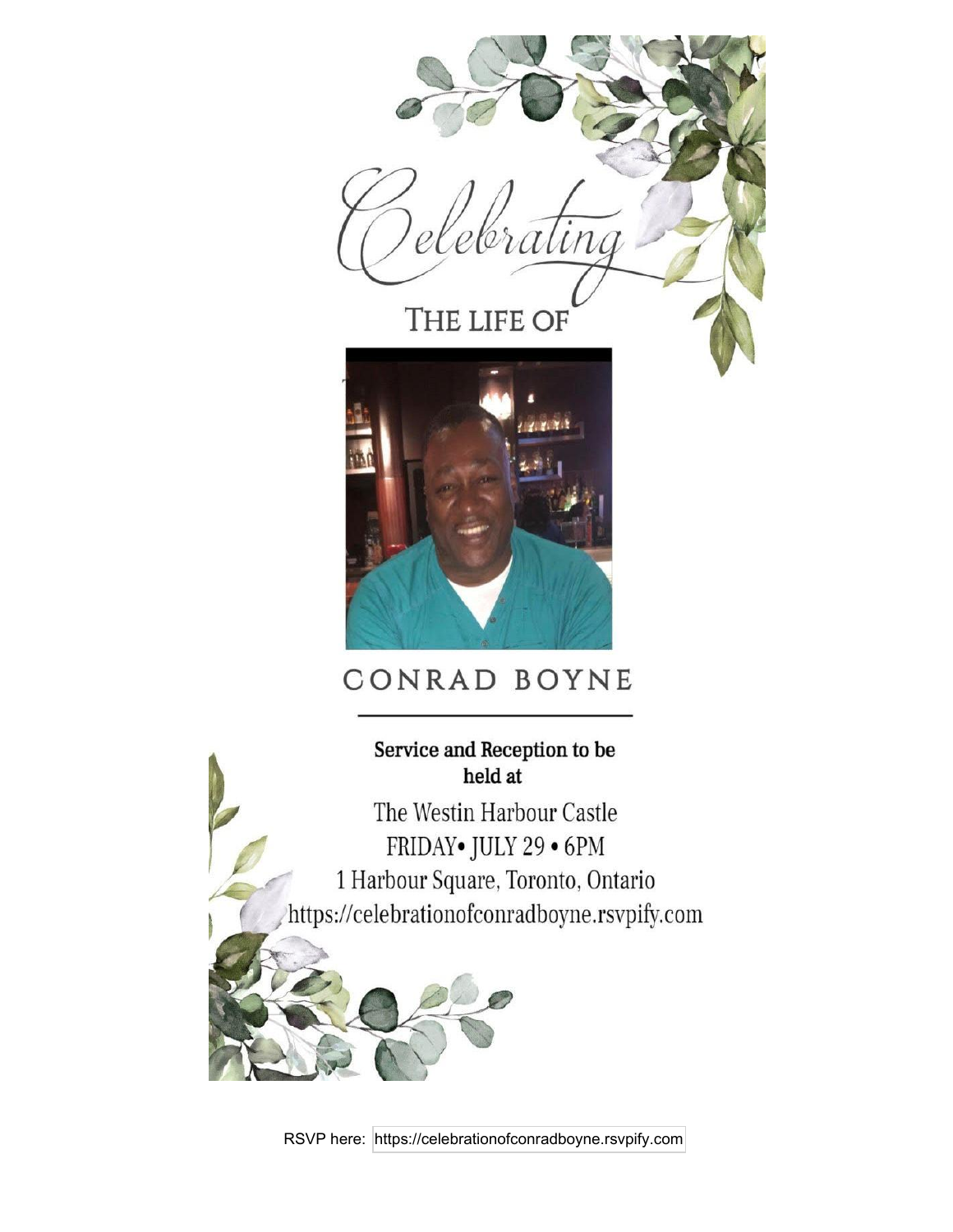

## Service and Reception to be held at

The Westin Harbour Castle FRIDAY• JULY 29 • 6PM 1 Harbour Square, Toronto, Ontario https://celebrationofconradboyne.rsvpify.com

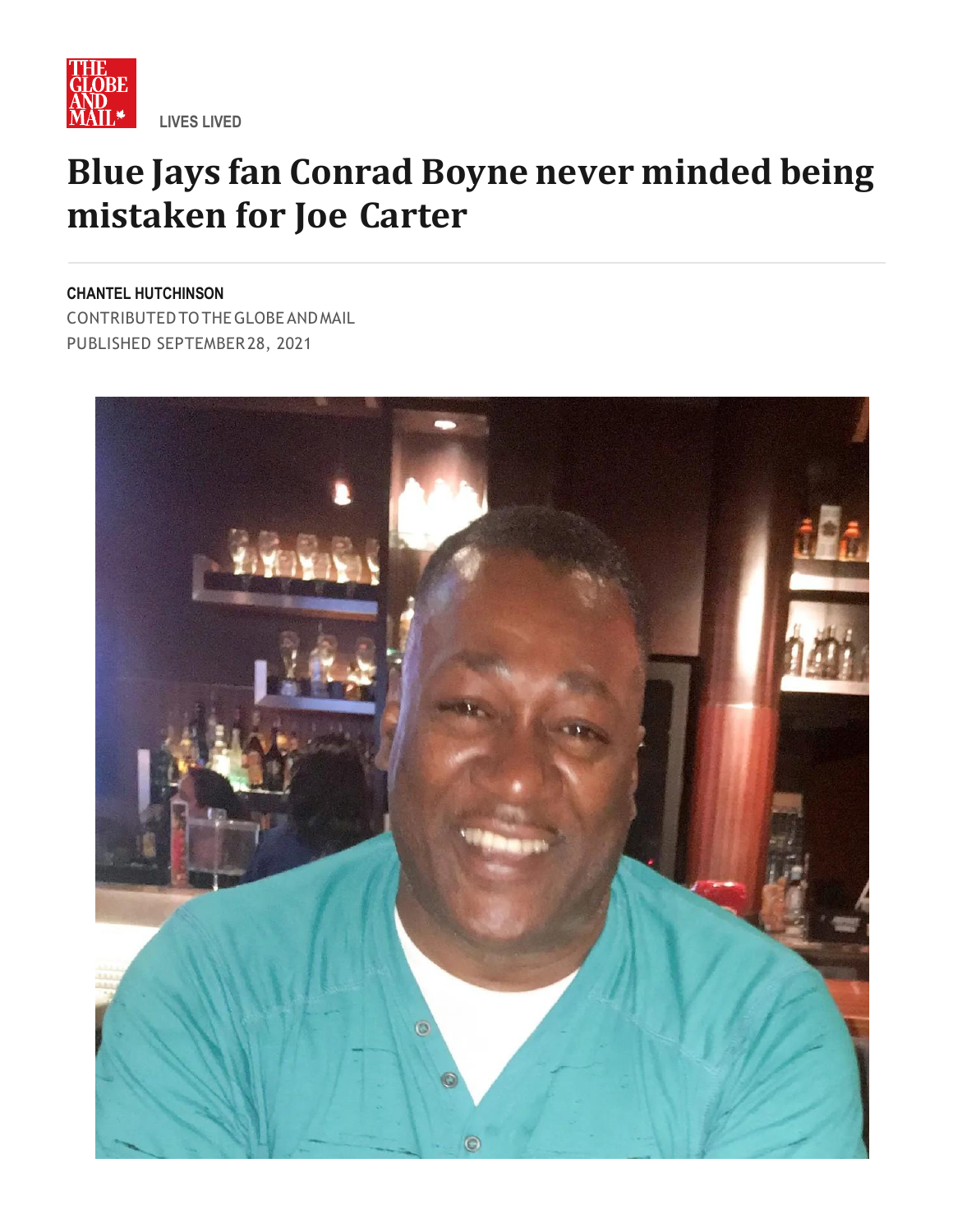

## **Blue Jays fan Conrad Boyne never minded being mistaken for Joe Carter**

**CHANTEL HUTCHINSON**

CONTRIBUTEDTOTHEGLOBE ANDMAIL PUBLISHED SEPTEMBER28, 2021

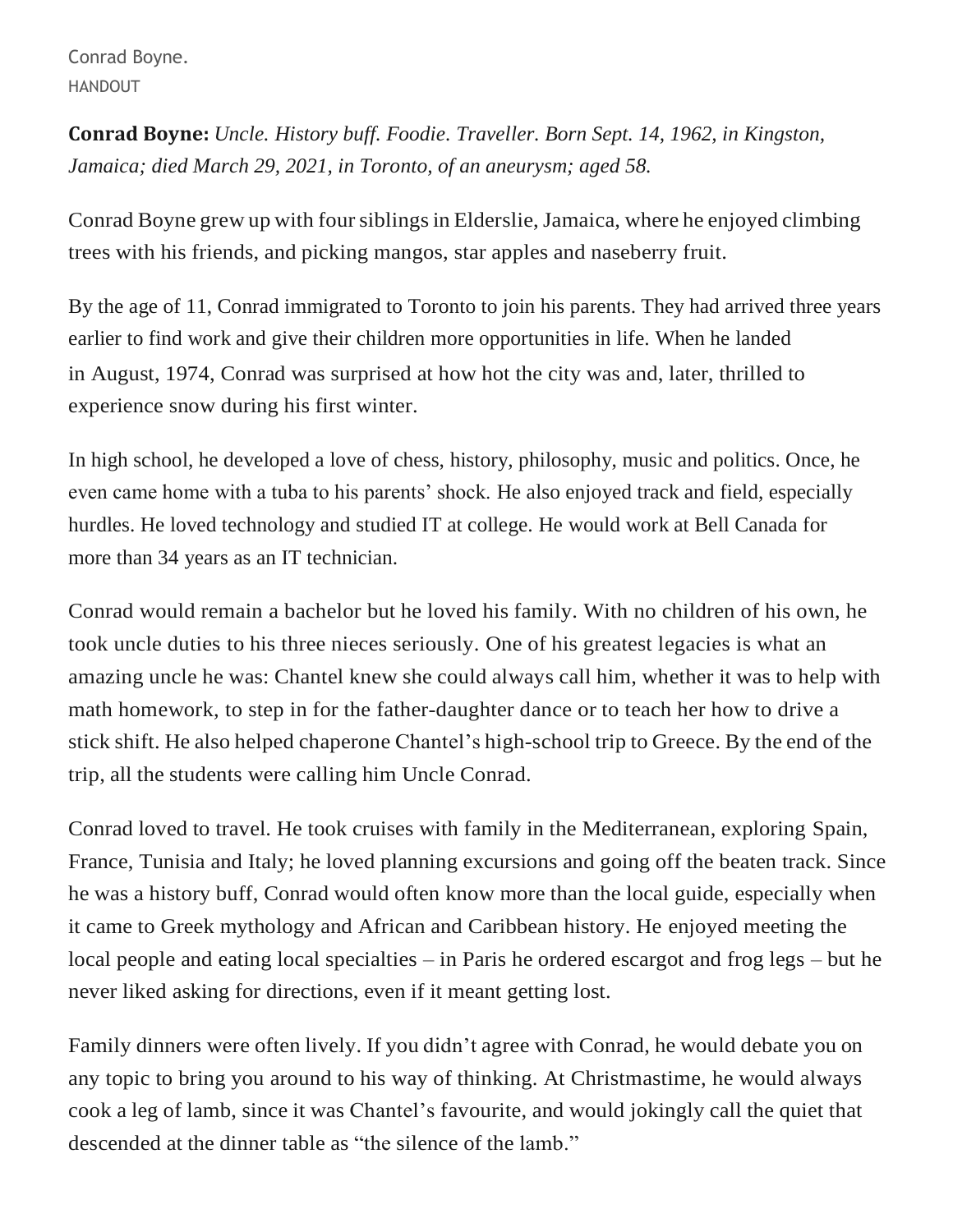Conrad Boyne. HANDOUT

**Conrad Boyne:** *Uncle. History buff. Foodie. Traveller. Born Sept. 14, 1962, in Kingston, Jamaica; died March 29, 2021, in Toronto, of an aneurysm; aged 58.*

Conrad Boyne grew up with four siblings in Elderslie, Jamaica, where he enjoyed climbing trees with his friends, and picking mangos, star apples and naseberry fruit.

By the age of 11, Conrad immigrated to Toronto to join his parents. They had arrived three years earlier to find work and give their children more opportunities in life. When he landed in August, 1974, Conrad was surprised at how hot the city was and, later, thrilled to experience snow during his first winter.

In high school, he developed a love of chess, history, philosophy, music and politics. Once, he even came home with a tuba to his parents' shock. He also enjoyed track and field, especially hurdles. He loved technology and studied IT at college. He would work at Bell Canada for more than 34 years as an IT technician.

Conrad would remain a bachelor but he loved his family. With no children of his own, he took uncle duties to his three nieces seriously. One of his greatest legacies is what an amazing uncle he was: Chantel knew she could always call him, whether it was to help with math homework, to step in for the father-daughter dance or to teach her how to drive a stick shift. He also helped chaperone Chantel's high-school trip to Greece. By the end of the trip, all the students were calling him Uncle Conrad.

Conrad loved to travel. He took cruises with family in the Mediterranean, exploring Spain, France, Tunisia and Italy; he loved planning excursions and going off the beaten track. Since he was a history buff, Conrad would often know more than the local guide, especially when it came to Greek mythology and African and Caribbean history. He enjoyed meeting the local people and eating local specialties – in Paris he ordered escargot and frog legs – but he never liked asking for directions, even if it meant getting lost.

Family dinners were often lively. If you didn't agree with Conrad, he would debate you on any topic to bring you around to his way of thinking. At Christmastime, he would always cook a leg of lamb, since it was Chantel's favourite, and would jokingly call the quiet that descended at the dinner table as "the silence of the lamb."